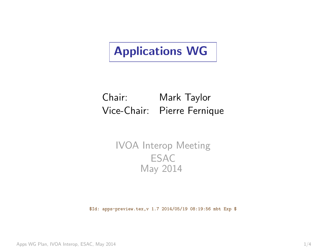# <span id="page-0-0"></span>Applications WG

### Chair: Mark Taylor Vice-Chair: Pierre Fernique

#### IVOA Interop Meeting **ESAC** May 2014

\$Id: apps-preview.tex,v 1.7 2014/05/19 08:19:56 mbt Exp \$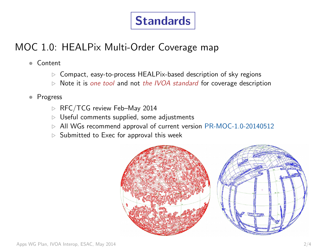# Standards

### MOC 1.0: HEALPix Multi-Order Coverage map

- Content
	- $\triangleright$  Compact, easy-to-process HEALPix-based description of sky regions
	- $\triangleright$  Note it is one tool and not the IVOA standard for coverage description
- Progress
	- $\triangleright$  RFC/TCG review Feb–May 2014
	- $\triangleright$  Useful comments supplied, some adjustments
	- $\triangleright$  All WGs recommend approval of current version [PR-MOC-1.0-20140512](http://wiki.ivoa.net/internal/IVOA/MOC1RFC/PR-MOC-1.0-20140512.pdf)
	- $\triangleright$  Submitted to Exec for approval this week

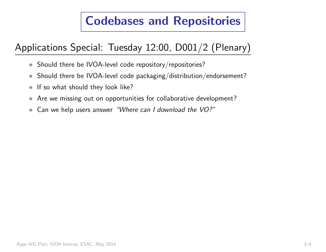# Codebases and Repositories

### Applications Special: Tuesday 12:00, D001/2 (Plenary)

- Should there be IVOA-level code repository/repositories?
- $\bullet$  Should there be IVOA-level code packaging/distribution/endorsement?
- If so what should they look like?
- Are we missing out on opportunities for collaborative development?
- Can we help users answer "Where can I download the VO?"